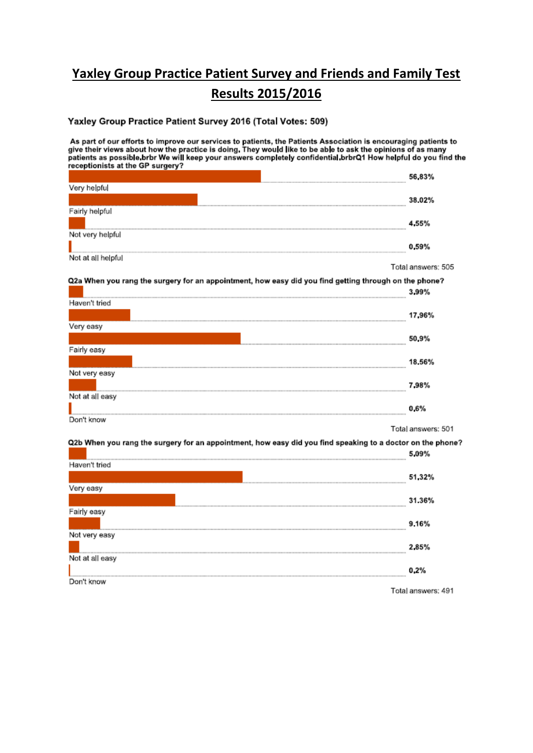## **Yaxley Group Practice Patient Survey and Friends and Family Test Results 2015/2016**

#### Yaxley Group Practice Patient Survey 2016 (Total Votes: 509)

As part of our efforts to improve our services to patients, the Patients Association is encouraging patients to<br>give their views about how the practice is doing. They would like to be able to ask the opinions of as many<br>pa receptionists at the GP surgery?

|                    | 56.83% |
|--------------------|--------|
| Very helpful       |        |
|                    | 38.02% |
| Fairly helpful     |        |
|                    | 4.55%  |
| Not very helpful   |        |
|                    | 0.59%  |
| Not at all helpful |        |

Total answers: 505

Q2a When you rang the surgery for an appointment, how easy did you find getting through on the phone? 3.99%

| Haven't tried                                   |        |
|-------------------------------------------------|--------|
|                                                 | 17,96% |
| Very easy                                       |        |
|                                                 | 50.9%  |
| Fairly easy                                     |        |
|                                                 | 18.56% |
| Not very easy                                   |        |
|                                                 | 798%   |
| Not at all easy                                 |        |
| 2010年12月10日12月10日12月10日12月10日12日12日12日12日12日12日 | 0.6%   |
| Don't know                                      |        |

Total answers: 501

Q2b When you rang the surgery for an appointment, how easy did you find speaking to a doctor on the phone?

| Haven't tried                                                                                        |                                                   |
|------------------------------------------------------------------------------------------------------|---------------------------------------------------|
| 2012年度度10000年度度10000年度更加1000年度至全国的生産基金和生産基金和生产基金及2012年度更多的效率量多少的生产基金和效率基金,最高级的生産基金和生产基金和生产基金和生产基金和生产 | 51,32%                                            |
| Very easy                                                                                            |                                                   |
|                                                                                                      | 31.36%                                            |
| Fairly easy                                                                                          |                                                   |
|                                                                                                      | 9.16%                                             |
| Not very easy                                                                                        |                                                   |
|                                                                                                      | 285%                                              |
| Not at all easy                                                                                      |                                                   |
|                                                                                                      | 0.2%<br>2010年度重要的2021年度中国的日本发展的100年度更多的100年度更多的10 |
| Don't know                                                                                           |                                                   |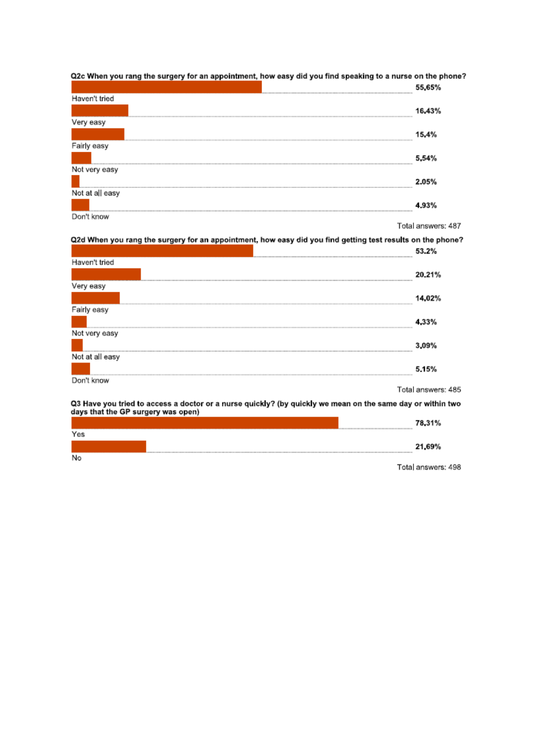|                 | 55.65% |
|-----------------|--------|
| Haven't tried   |        |
|                 | 16.43% |
| Very easy       |        |
|                 | 15.4%  |
| Fairly easy     |        |
|                 | 5.54%  |
| Not very easy   |        |
|                 | 2.05%  |
| Not at all easy |        |
|                 |        |
| Don't know      |        |

Q2c When you rang the surgery for an appointment, how easy did you find speaking to a nurse on the phone?

Total answers: 487

Q2d When you rang the surgery for an appointment, how easy did you find getting test results on the phone?

|                                                                                                            | 53.2%              |
|------------------------------------------------------------------------------------------------------------|--------------------|
| Haven't tried                                                                                              |                    |
|                                                                                                            | 20.21%             |
| Very easy                                                                                                  |                    |
|                                                                                                            | 14.02%             |
| Fairly easy                                                                                                |                    |
|                                                                                                            | 33%                |
| Not very easy                                                                                              |                    |
|                                                                                                            | 3.09%              |
| Not at all easy                                                                                            |                    |
|                                                                                                            | 5.15%              |
| Don't know                                                                                                 |                    |
|                                                                                                            | Total answers: 485 |
| O3 Hove you tried to sceece a doctor or a nurse quickly? (by quickly we mean on the same day or within two |                    |

Q3 Have you tried to access a doctor or a nurse quickly? (by quickly we mean on the same day or within two<br>days that the GP surgery was open)

|     | 78.31% |
|-----|--------|
| Yes |        |
|     | 21,69% |

 $\overline{N_{\Omega}}$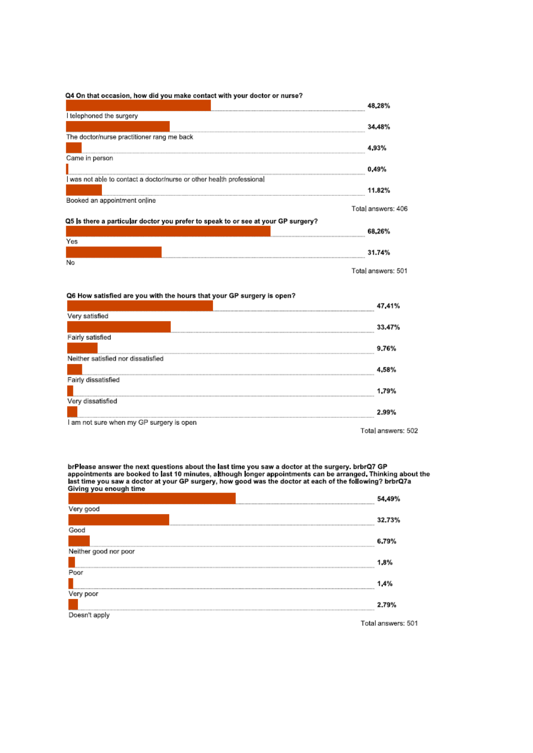#### Q4 On that occasion, how did you make contact with your doctor or nurse?

|                                                                                   | 48.28%             |
|-----------------------------------------------------------------------------------|--------------------|
| I telephoned the surgery                                                          |                    |
|                                                                                   | 34.48%             |
| The doctor/nurse practitioner rang me back                                        |                    |
|                                                                                   | l 93%              |
| Came in person                                                                    |                    |
|                                                                                   | 0.49%              |
| was not able to contact a doctor/nurse or other health professional               |                    |
|                                                                                   | 11.82%             |
| Booked an appointment online                                                      |                    |
|                                                                                   | Total answers: 406 |
| Q5 is there a particular doctor you prefer to speak to or see at your GP surgery? |                    |
|                                                                                   | 68.26%             |
| Yes                                                                               |                    |
|                                                                                   | 31.74%             |
| No                                                                                |                    |

Total answers: 501

#### Q6 How satisfied are you with the hours that your GP surgery is open?

|                                          | 47.41%             |
|------------------------------------------|--------------------|
| Very satisfied                           |                    |
|                                          | 33.47%             |
| Fairly satisfied                         |                    |
|                                          | 9.76%              |
| Neither satisfied nor dissatisfied       |                    |
|                                          | 4.58%              |
| Fairly dissatisfied                      |                    |
|                                          | 1.79%              |
| Very dissatisfied                        |                    |
|                                          | 2.99%              |
| I am not sure when my GP surgery is open |                    |
|                                          | Total answers: 502 |

brPlease answer the next questions about the last time you saw a doctor at the surgery. brbrQ7 GP<br>appointments are booked to last 10 minutes, although longer appointments can be arranged. Thinking about the<br>last time you s

| Very good             |                    |
|-----------------------|--------------------|
|                       | 32.73%             |
| Good                  |                    |
|                       | 6.79%              |
| Neither good nor poor |                    |
|                       | 1.8%               |
| Poor                  |                    |
|                       | 1.4%               |
| Very poor             |                    |
|                       | 2.79%              |
| Doesn't apply         |                    |
|                       | Total answers: 501 |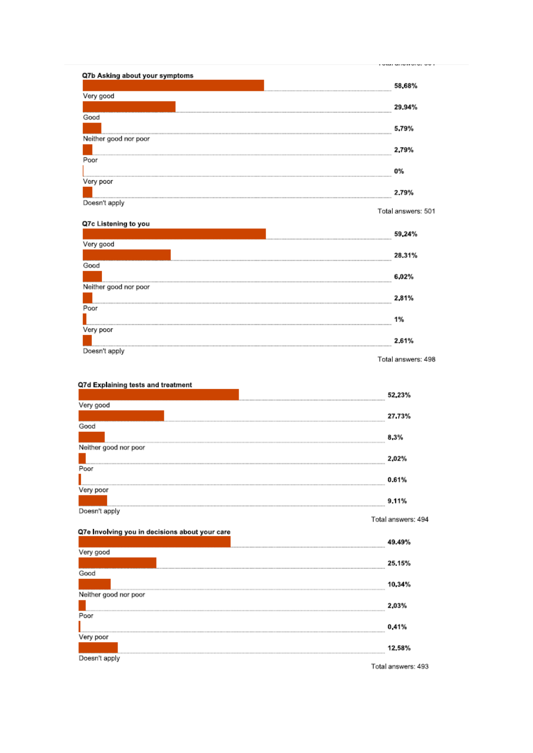| Q7b Asking about your symptoms |                    |
|--------------------------------|--------------------|
|                                | 58.68%             |
| Very good                      |                    |
|                                | 29.94%             |
| Good                           |                    |
|                                | 5.79%              |
| Neither good nor poor          |                    |
|                                | 2.79%              |
| Poor                           |                    |
|                                | 0%                 |
| Very poor                      |                    |
|                                | 2.79%              |
| Doesn't apply                  |                    |
|                                | Total answers: 501 |

|                       | 59.24% |
|-----------------------|--------|
| Very good             |        |
|                       | 28.31% |
| Good                  |        |
|                       | 6.02%  |
| Neither good nor poor |        |
|                       | 2,81%  |
| Poor                  |        |
|                       | 1%     |
| Very poor             |        |
|                       | 2.61%  |
| Doesn't apply         |        |

#### Q7d Explaining tests and treatment

| Very good             |                                                                |
|-----------------------|----------------------------------------------------------------|
|                       | 27.73%                                                         |
| Good                  |                                                                |
|                       | 8.3%                                                           |
| Neither good nor poor |                                                                |
|                       | 2.02%<br>2020年度更多重的2021年度是2021年度更多2021年度更多的120年度更多的120年度更多的120 |
| Poor                  |                                                                |
|                       | 0.61%                                                          |
| Very poor             |                                                                |
|                       | 9.11%                                                          |
| Doesn't apply         |                                                                |

## 07e Involving vou in decisions about vour care

Total answers: 494

| Qre involving you in decisions about your care |                               |
|------------------------------------------------|-------------------------------|
|                                                | 49.49%                        |
| Very good                                      |                               |
|                                                | 25.15%                        |
| Good                                           |                               |
|                                                | 10.34%                        |
| Neither good nor poor                          |                               |
|                                                | 2 03%                         |
| Poor                                           |                               |
|                                                | 0.41%                         |
| Very poor                                      |                               |
|                                                | 12.58%                        |
| Doesn't apply                                  |                               |
|                                                | Windows I was accepted to the |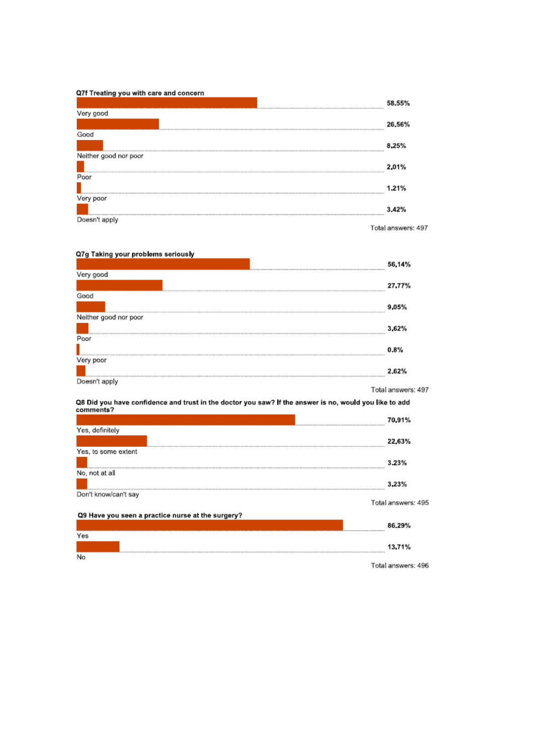#### Q7f Treating you with care and concern

|                       | 58.55% |
|-----------------------|--------|
| Very good             |        |
|                       | 26.56% |
| Good                  |        |
|                       | 8.25%  |
| Neither good nor poor |        |
|                       | 2.01%  |
| Poor                  |        |
|                       | 1.21%  |
| Very poor             |        |
|                       | 3.42%  |
| Doesn't apply<br>---  |        |

Total answers: 497

#### Q7g Taking your problems seriously

| wig running your propressed corrolled |                    |
|---------------------------------------|--------------------|
|                                       | 56.14%             |
| Very good                             |                    |
|                                       | 27.77%             |
| Good                                  |                    |
|                                       | 9.05%              |
| Neither good nor poor                 |                    |
|                                       | 3.62%              |
| Poor                                  |                    |
|                                       | $0.8\%$            |
| Very poor                             |                    |
|                                       | 2.62%              |
| Doesn't apply                         |                    |
|                                       | Total answers: 497 |

# Q8 Did you have confidence and trust in the doctor you saw? If the answer is no, would you like to add<br>comments?

|                                                   | 70.91%<br>                              |
|---------------------------------------------------|-----------------------------------------|
| Yes, definitely                                   |                                         |
|                                                   | 22.63%                                  |
| Yes, to some extent                               |                                         |
|                                                   | 3.23%                                   |
| No, not at all                                    |                                         |
|                                                   | 3.23%<br>                               |
| Don't know/can't say                              |                                         |
|                                                   | Total answers: 495                      |
| Q9 Have you seen a practice nurse at the surgery? |                                         |
|                                                   | 86.29%                                  |
| Yes                                               |                                         |
|                                                   | 13.71%<br>----------------------------- |
| No                                                |                                         |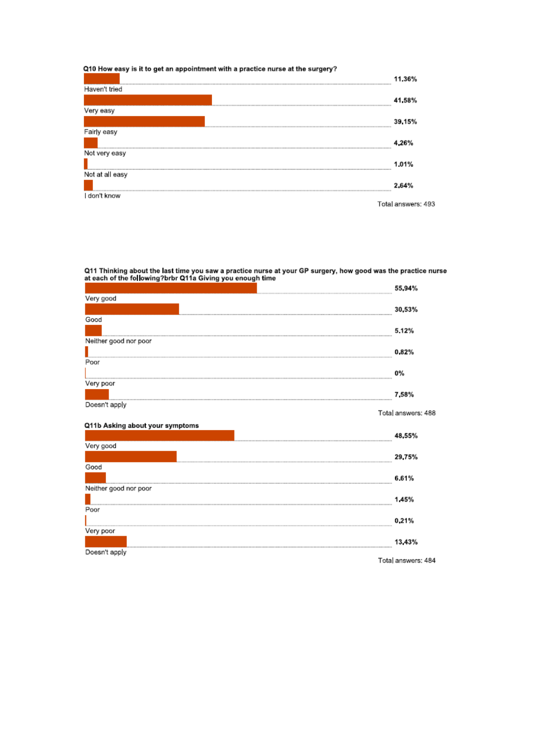#### Q10 How easy is it to get an appointment with a practice nurse at the surgery?

|                 | 11.36%             |
|-----------------|--------------------|
| Haven't tried   |                    |
|                 | 41,58%             |
| Very easy       |                    |
|                 | 39.15%             |
| Fairly easy     |                    |
|                 | .26%               |
| Not very easy   |                    |
|                 | 1.01%              |
| Not at all easy |                    |
|                 | 2.64%              |
| l don't know    |                    |
|                 | Total answers: 493 |

Q11 Thinking about the last time you saw a practice nurse at your GP surgery, how good was the practice nurse<br>at each of the following?brbr Q11a Giving you enough time

|                       |  | 55.94%             |
|-----------------------|--|--------------------|
| Very good             |  |                    |
|                       |  | 30.53%             |
| Good                  |  |                    |
|                       |  | 5.12%              |
| Neither good nor poor |  |                    |
|                       |  | 0.82%              |
| Poor                  |  |                    |
|                       |  | 0%                 |
| Very poor             |  |                    |
|                       |  | 7.58%              |
| Doesn't apply         |  |                    |
|                       |  | Total answers: 488 |

#### Q11b Asking about your symptoms

48,55% Very good 29,75% Good 6.61% Neither good nor poor 1.45% Poor 0.21% Very poor 13,43% Doesn't apply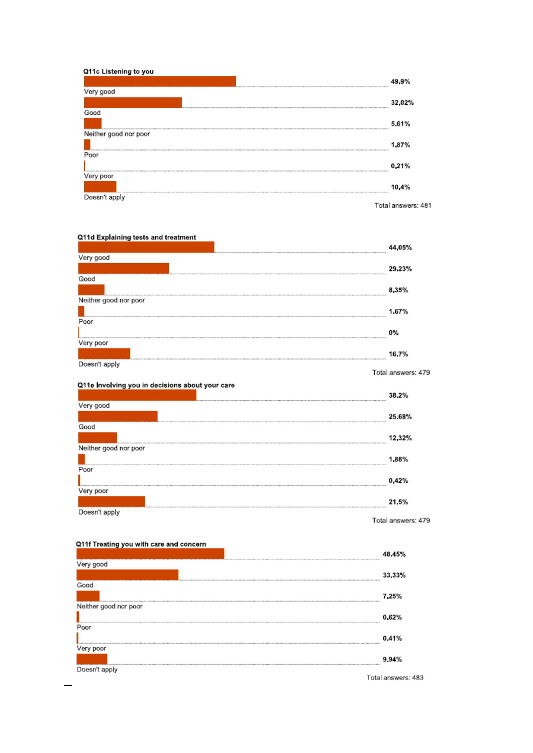#### Q11c Listening to you

| Very good             |                    |
|-----------------------|--------------------|
|                       | 32.02%             |
| Good                  |                    |
|                       | 5.61%              |
| Neither good nor poor |                    |
|                       | 1,87%              |
| Poor                  |                    |
|                       | 0.21%              |
| Very poor             |                    |
|                       | 10.4%              |
| Doesn't apply         |                    |
|                       | Total answers: 481 |

## Q11d Explaining tests and treatment

| Very good             |                    |
|-----------------------|--------------------|
|                       | 29.23%             |
| Good                  |                    |
|                       | 8.35%              |
| Neither good nor poor |                    |
|                       | 1.67%              |
| Poor                  |                    |
|                       | <b>0%</b>          |
| Very poor             |                    |
|                       | 16.7%              |
| Doesn't apply         |                    |
|                       | Total answers: 479 |

## Q11e Involving you in decisions about your care

| Very good             |                    |
|-----------------------|--------------------|
|                       | 25.68%             |
| Good                  |                    |
|                       | 12.32%             |
| Neither good nor poor |                    |
|                       | 1.88%              |
| Poor                  |                    |
|                       | 0.42%              |
| Very poor             |                    |
|                       | 21.5%              |
| Doesn't apply         |                    |
|                       | Total answers: 479 |

#### Q11f Treating you with care and concern

 $\equiv$ 

|                       | 48.45%             |
|-----------------------|--------------------|
| Very good             |                    |
|                       | 33.33%             |
| Good                  |                    |
|                       | 7.25%              |
| Neither good nor poor |                    |
|                       | 0.62%              |
| Poor                  |                    |
|                       | 0.41%              |
| Very poor             |                    |
|                       | 9.94%              |
| Doesn't apply         |                    |
|                       | Total answers: 483 |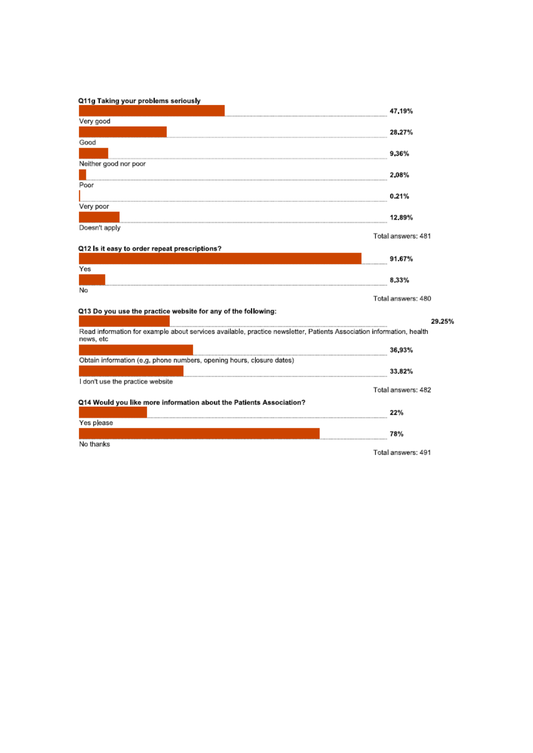#### Q11g Taking your problems seriously

|                                                                                                                      | 47.19%             |
|----------------------------------------------------------------------------------------------------------------------|--------------------|
| Very good                                                                                                            |                    |
|                                                                                                                      | 28,27%             |
| Good                                                                                                                 |                    |
|                                                                                                                      | 936%               |
| Neither good nor poor                                                                                                |                    |
|                                                                                                                      | 2.08%              |
| Poor                                                                                                                 |                    |
|                                                                                                                      | 0.21%              |
| Very poor                                                                                                            |                    |
|                                                                                                                      | 12.89%             |
| Doesn't apply                                                                                                        |                    |
|                                                                                                                      | Total answers: 481 |
| Q12 Is it easy to order repeat prescriptions?                                                                        |                    |
|                                                                                                                      | 91.67%             |
| Yes                                                                                                                  |                    |
|                                                                                                                      | 8.33%              |
| No                                                                                                                   |                    |
|                                                                                                                      | Total answers: 480 |
| Q13 Do you use the practice website for any of the following:                                                        |                    |
|                                                                                                                      | 29.25%             |
| Read information for example about services available, practice newsletter, Patients Association information, health |                    |
| news, etc                                                                                                            |                    |
|                                                                                                                      | 36.93%             |
| Obtain information (e,g, phone numbers, opening hours, closure dates)                                                |                    |
|                                                                                                                      | 33.82%             |
| I don't use the practice website                                                                                     |                    |
|                                                                                                                      | Total answers: 482 |
| Q14 Would you like more information about the Patients Association?                                                  |                    |
|                                                                                                                      | 22%                |
| Yes please                                                                                                           |                    |
|                                                                                                                      | 78%                |
| No thanks                                                                                                            |                    |
|                                                                                                                      | Total answers: 491 |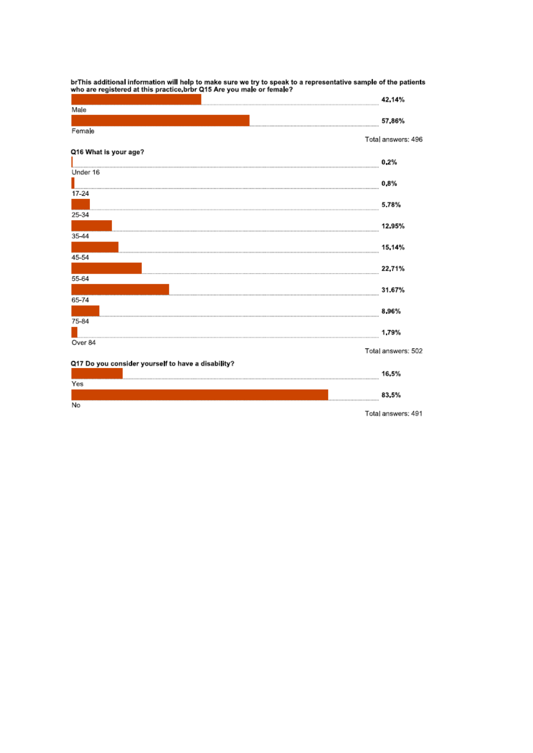|                                                    | 42.14%             |
|----------------------------------------------------|--------------------|
| Male                                               |                    |
|                                                    | 57,86%             |
| Female                                             |                    |
|                                                    | Total answers: 496 |
| Q16 What is your age?                              |                    |
|                                                    | 0.2%               |
| Under 16                                           |                    |
|                                                    | 0.8%               |
| 17-24                                              |                    |
|                                                    | 5.78%              |
| 25-34                                              |                    |
|                                                    | 12,95%             |
| 35-44                                              |                    |
|                                                    | 15, 14%            |
| 45-54                                              |                    |
| 55-64                                              | 22,71%             |
|                                                    | 31.67%             |
| 65-74                                              |                    |
|                                                    | 896%               |
| 75-84                                              |                    |
|                                                    | 1.79%              |
| Over 84                                            |                    |
|                                                    | Total answers: 502 |
| Q17 Do you consider yourself to have a disability? |                    |
|                                                    | 16.5%              |
| Yes                                                |                    |
|                                                    | 83.5%              |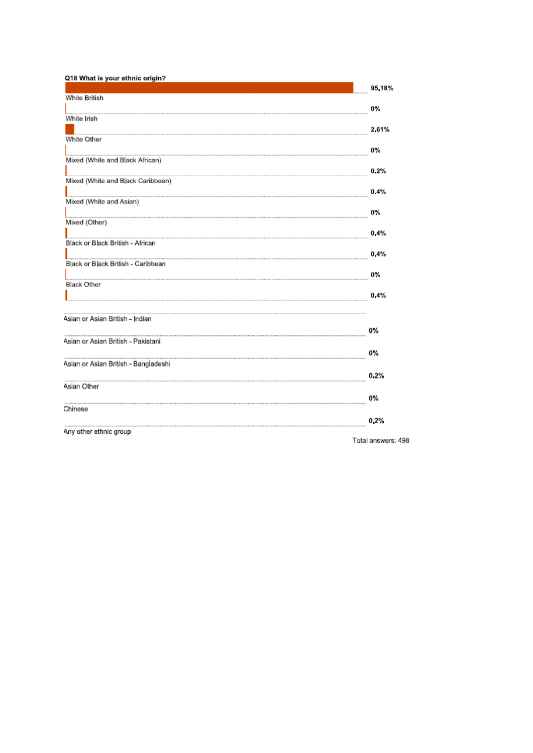| Q18 What is your ethnic origin?      |           |
|--------------------------------------|-----------|
|                                      | 95.18%    |
| White British                        | 0%        |
| White Irish                          |           |
|                                      | 2.61%     |
| White Other                          |           |
| Mixed (White and Black African)      | 0%        |
|                                      | 0.2%      |
| Mixed (White and Black Caribbean)    |           |
| Mixed (White and Asian)              | 0.4%      |
|                                      | <b>0%</b> |
| Mixed (Other)                        |           |
| Black or Black British - African     | 0.4%      |
|                                      | 0.4%      |
| Black or Black British - Caribbean   |           |
|                                      | 0%        |
| <b>Black Other</b>                   | 0.4%      |
|                                      |           |
| Asian or Asian British - Indian      |           |
|                                      | 0%        |
| Asian or Asian British - Pakistani   |           |
|                                      | 0%        |
| Asian or Asian British - Bangladeshi |           |
| Asian Other                          | 0.2%      |
|                                      | 0%        |
| Chinese                              |           |
|                                      | 0.2%      |
| Any other ethnic group               |           |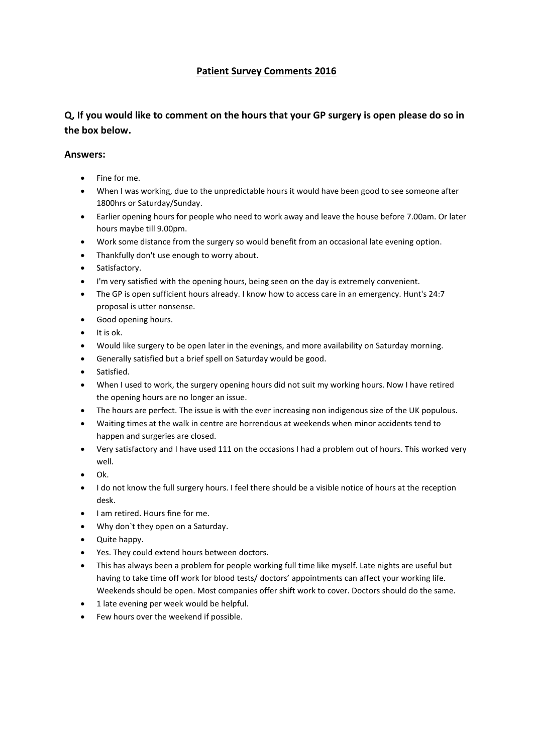## **Patient Survey Comments 2016**

## **Q, If you would like to comment on the hours that your GP surgery is open please do so in the box below.**

- Fine for me.
- When I was working, due to the unpredictable hours it would have been good to see someone after 1800hrs or Saturday/Sunday.
- Earlier opening hours for people who need to work away and leave the house before 7.00am. Or later hours maybe till 9.00pm.
- Work some distance from the surgery so would benefit from an occasional late evening option.
- Thankfully don't use enough to worry about.
- **•** Satisfactory.
- I'm very satisfied with the opening hours, being seen on the day is extremely convenient.
- The GP is open sufficient hours already. I know how to access care in an emergency. Hunt's 24:7 proposal is utter nonsense.
- Good opening hours.
- $\bullet$  It is ok.
- Would like surgery to be open later in the evenings, and more availability on Saturday morning.
- Generally satisfied but a brief spell on Saturday would be good.
- Satisfied.
- When I used to work, the surgery opening hours did not suit my working hours. Now I have retired the opening hours are no longer an issue.
- The hours are perfect. The issue is with the ever increasing non indigenous size of the UK populous.
- Waiting times at the walk in centre are horrendous at weekends when minor accidents tend to happen and surgeries are closed.
- Very satisfactory and I have used 111 on the occasions I had a problem out of hours. This worked very well.
- Ok.
- I do not know the full surgery hours. I feel there should be a visible notice of hours at the reception desk.
- I am retired. Hours fine for me.
- Why don`t they open on a Saturday.
- Quite happy.
- Yes. They could extend hours between doctors.
- This has always been a problem for people working full time like myself. Late nights are useful but having to take time off work for blood tests/ doctors' appointments can affect your working life. Weekends should be open. Most companies offer shift work to cover. Doctors should do the same.
- 1 late evening per week would be helpful.
- Few hours over the weekend if possible.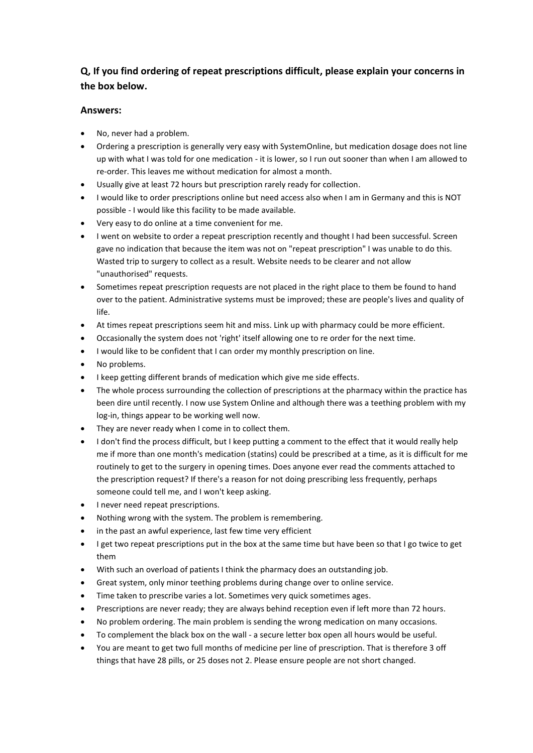## **Q, If you find ordering of repeat prescriptions difficult, please explain your concerns in the box below.**

- No, never had a problem.
- Ordering a prescription is generally very easy with SystemOnline, but medication dosage does not line up with what I was told for one medication - it is lower, so I run out sooner than when I am allowed to re-order. This leaves me without medication for almost a month.
- Usually give at least 72 hours but prescription rarely ready for collection.
- I would like to order prescriptions online but need access also when I am in Germany and this is NOT possible - I would like this facility to be made available.
- Very easy to do online at a time convenient for me.
- I went on website to order a repeat prescription recently and thought I had been successful. Screen gave no indication that because the item was not on "repeat prescription" I was unable to do this. Wasted trip to surgery to collect as a result. Website needs to be clearer and not allow "unauthorised" requests.
- Sometimes repeat prescription requests are not placed in the right place to them be found to hand over to the patient. Administrative systems must be improved; these are people's lives and quality of life.
- At times repeat prescriptions seem hit and miss. Link up with pharmacy could be more efficient.
- Occasionally the system does not 'right' itself allowing one to re order for the next time.
- I would like to be confident that I can order my monthly prescription on line.
- No problems.
- I keep getting different brands of medication which give me side effects.
- The whole process surrounding the collection of prescriptions at the pharmacy within the practice has been dire until recently. I now use System Online and although there was a teething problem with my log-in, things appear to be working well now.
- They are never ready when I come in to collect them.
- I don't find the process difficult, but I keep putting a comment to the effect that it would really help me if more than one month's medication (statins) could be prescribed at a time, as it is difficult for me routinely to get to the surgery in opening times. Does anyone ever read the comments attached to the prescription request? If there's a reason for not doing prescribing less frequently, perhaps someone could tell me, and I won't keep asking.
- I never need repeat prescriptions.
- Nothing wrong with the system. The problem is remembering.
- in the past an awful experience, last few time very efficient
- I get two repeat prescriptions put in the box at the same time but have been so that I go twice to get them
- With such an overload of patients I think the pharmacy does an outstanding job.
- Great system, only minor teething problems during change over to online service.
- Time taken to prescribe varies a lot. Sometimes very quick sometimes ages.
- Prescriptions are never ready; they are always behind reception even if left more than 72 hours.
- No problem ordering. The main problem is sending the wrong medication on many occasions.
- To complement the black box on the wall a secure letter box open all hours would be useful.
- You are meant to get two full months of medicine per line of prescription. That is therefore 3 off things that have 28 pills, or 25 doses not 2. Please ensure people are not short changed.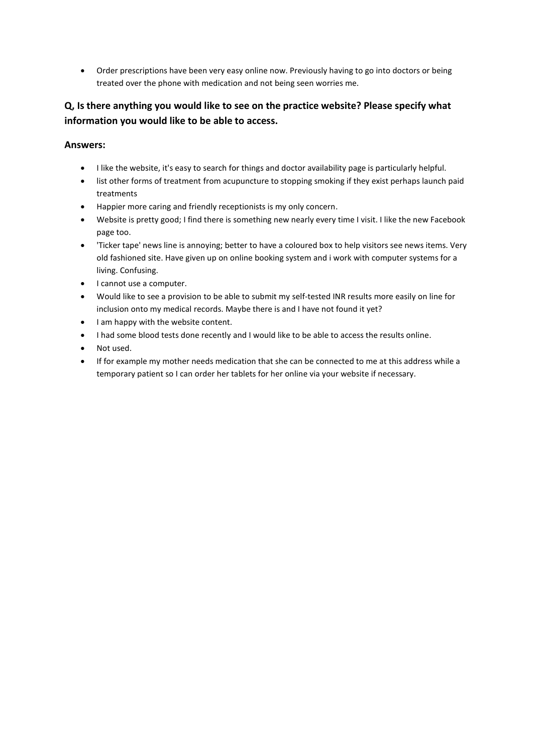Order prescriptions have been very easy online now. Previously having to go into doctors or being treated over the phone with medication and not being seen worries me.

## **Q, Is there anything you would like to see on the practice website? Please specify what information you would like to be able to access.**

- I like the website, it's easy to search for things and doctor availability page is particularly helpful.
- list other forms of treatment from acupuncture to stopping smoking if they exist perhaps launch paid treatments
- Happier more caring and friendly receptionists is my only concern.
- Website is pretty good; I find there is something new nearly every time I visit. I like the new Facebook page too.
- 'Ticker tape' news line is annoying; better to have a coloured box to help visitors see news items. Very old fashioned site. Have given up on online booking system and i work with computer systems for a living. Confusing.
- I cannot use a computer.
- Would like to see a provision to be able to submit my self-tested INR results more easily on line for inclusion onto my medical records. Maybe there is and I have not found it yet?
- I am happy with the website content.
- I had some blood tests done recently and I would like to be able to access the results online.
- Not used.
- If for example my mother needs medication that she can be connected to me at this address while a temporary patient so I can order her tablets for her online via your website if necessary.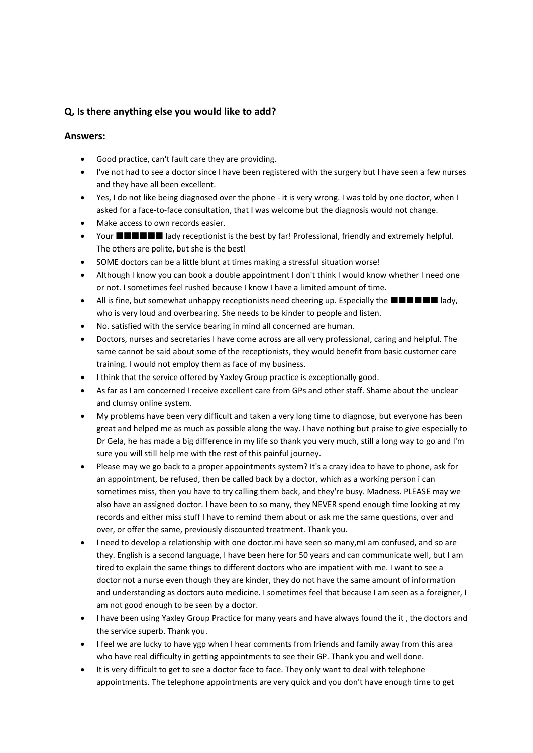## **Q, Is there anything else you would like to add?**

- Good practice, can't fault care they are providing.
- I've not had to see a doctor since I have been registered with the surgery but I have seen a few nurses and they have all been excellent.
- Yes, I do not like being diagnosed over the phone it is very wrong. I was told by one doctor, when I asked for a face-to-face consultation, that I was welcome but the diagnosis would not change.
- Make access to own records easier.
- Your **NUMBAL** lady receptionist is the best by far! Professional, friendly and extremely helpful. The others are polite, but she is the best!
- SOME doctors can be a little blunt at times making a stressful situation worse!
- Although I know you can book a double appointment I don't think I would know whether I need one or not. I sometimes feel rushed because I know I have a limited amount of time.
- All is fine, but somewhat unhappy receptionists need cheering up. Especially the  $\blacksquare \blacksquare \blacksquare \blacksquare \blacksquare$  lady, who is very loud and overbearing. She needs to be kinder to people and listen.
- No. satisfied with the service bearing in mind all concerned are human.
- Doctors, nurses and secretaries I have come across are all very professional, caring and helpful. The same cannot be said about some of the receptionists, they would benefit from basic customer care training. I would not employ them as face of my business.
- I think that the service offered by Yaxley Group practice is exceptionally good.
- As far as I am concerned I receive excellent care from GPs and other staff. Shame about the unclear and clumsy online system.
- My problems have been very difficult and taken a very long time to diagnose, but everyone has been great and helped me as much as possible along the way. I have nothing but praise to give especially to Dr Gela, he has made a big difference in my life so thank you very much, still a long way to go and I'm sure you will still help me with the rest of this painful journey.
- Please may we go back to a proper appointments system? It's a crazy idea to have to phone, ask for an appointment, be refused, then be called back by a doctor, which as a working person i can sometimes miss, then you have to try calling them back, and they're busy. Madness. PLEASE may we also have an assigned doctor. I have been to so many, they NEVER spend enough time looking at my records and either miss stuff I have to remind them about or ask me the same questions, over and over, or offer the same, previously discounted treatment. Thank you.
- I need to develop a relationship with one doctor.mi have seen so many,mI am confused, and so are they. English is a second language, I have been here for 50 years and can communicate well, but I am tired to explain the same things to different doctors who are impatient with me. I want to see a doctor not a nurse even though they are kinder, they do not have the same amount of information and understanding as doctors auto medicine. I sometimes feel that because I am seen as a foreigner, I am not good enough to be seen by a doctor.
- I have been using Yaxley Group Practice for many years and have always found the it , the doctors and the service superb. Thank you.
- I feel we are lucky to have ygp when I hear comments from friends and family away from this area who have real difficulty in getting appointments to see their GP. Thank you and well done.
- It is very difficult to get to see a doctor face to face. They only want to deal with telephone appointments. The telephone appointments are very quick and you don't have enough time to get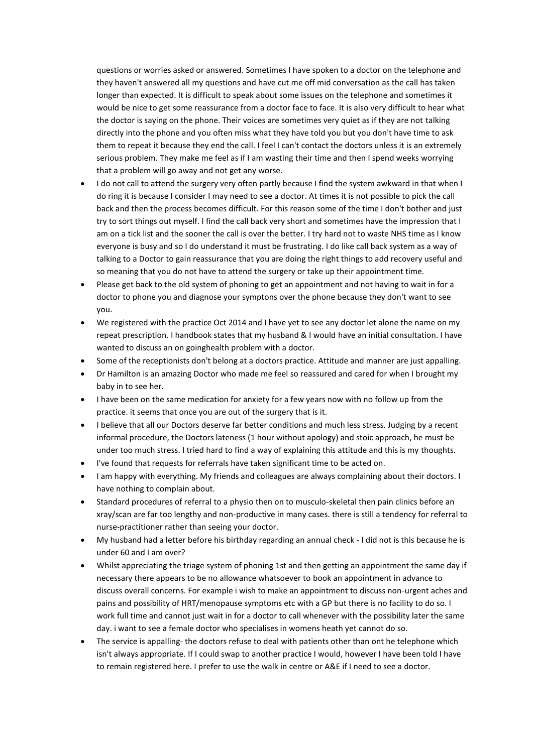questions or worries asked or answered. Sometimes I have spoken to a doctor on the telephone and they haven't answered all my questions and have cut me off mid conversation as the call has taken longer than expected. It is difficult to speak about some issues on the telephone and sometimes it would be nice to get some reassurance from a doctor face to face. It is also very difficult to hear what the doctor is saying on the phone. Their voices are sometimes very quiet as if they are not talking directly into the phone and you often miss what they have told you but you don't have time to ask them to repeat it because they end the call. I feel I can't contact the doctors unless it is an extremely serious problem. They make me feel as if I am wasting their time and then I spend weeks worrying that a problem will go away and not get any worse.

- I do not call to attend the surgery very often partly because I find the system awkward in that when I do ring it is because I consider I may need to see a doctor. At times it is not possible to pick the call back and then the process becomes difficult. For this reason some of the time I don't bother and just try to sort things out myself. I find the call back very short and sometimes have the impression that I am on a tick list and the sooner the call is over the better. I try hard not to waste NHS time as I know everyone is busy and so I do understand it must be frustrating. I do like call back system as a way of talking to a Doctor to gain reassurance that you are doing the right things to add recovery useful and so meaning that you do not have to attend the surgery or take up their appointment time.
- Please get back to the old system of phoning to get an appointment and not having to wait in for a doctor to phone you and diagnose your symptons over the phone because they don't want to see you.
- We registered with the practice Oct 2014 and I have yet to see any doctor let alone the name on my repeat prescription. I handbook states that my husband & I would have an initial consultation. I have wanted to discuss an on goinghealth problem with a doctor.
- Some of the receptionists don't belong at a doctors practice. Attitude and manner are just appalling.
- Dr Hamilton is an amazing Doctor who made me feel so reassured and cared for when I brought my baby in to see her.
- I have been on the same medication for anxiety for a few years now with no follow up from the practice. it seems that once you are out of the surgery that is it.
- I believe that all our Doctors deserve far better conditions and much less stress. Judging by a recent informal procedure, the Doctors lateness (1 hour without apology) and stoic approach, he must be under too much stress. I tried hard to find a way of explaining this attitude and this is my thoughts.
- I've found that requests for referrals have taken significant time to be acted on.
- I am happy with everything. My friends and colleagues are always complaining about their doctors. I have nothing to complain about.
- Standard procedures of referral to a physio then on to musculo-skeletal then pain clinics before an xray/scan are far too lengthy and non-productive in many cases. there is still a tendency for referral to nurse-practitioner rather than seeing your doctor.
- My husband had a letter before his birthday regarding an annual check I did not is this because he is under 60 and I am over?
- Whilst appreciating the triage system of phoning 1st and then getting an appointment the same day if necessary there appears to be no allowance whatsoever to book an appointment in advance to discuss overall concerns. For example i wish to make an appointment to discuss non-urgent aches and pains and possibility of HRT/menopause symptoms etc with a GP but there is no facility to do so. I work full time and cannot just wait in for a doctor to call whenever with the possibility later the same day. i want to see a female doctor who specialises in womens heath yet cannot do so.
- The service is appalling- the doctors refuse to deal with patients other than ont he telephone which isn't always appropriate. If I could swap to another practice I would, however I have been told I have to remain registered here. I prefer to use the walk in centre or A&E if I need to see a doctor.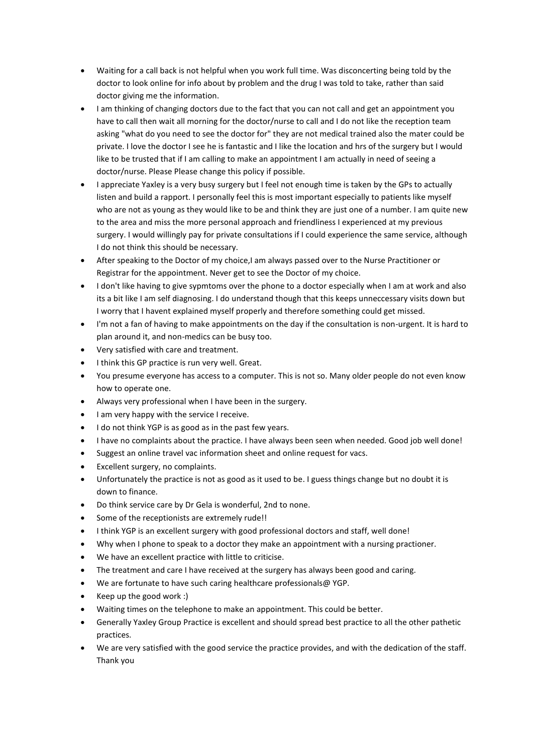- Waiting for a call back is not helpful when you work full time. Was disconcerting being told by the doctor to look online for info about by problem and the drug I was told to take, rather than said doctor giving me the information.
- I am thinking of changing doctors due to the fact that you can not call and get an appointment you have to call then wait all morning for the doctor/nurse to call and I do not like the reception team asking "what do you need to see the doctor for" they are not medical trained also the mater could be private. I love the doctor I see he is fantastic and I like the location and hrs of the surgery but I would like to be trusted that if I am calling to make an appointment I am actually in need of seeing a doctor/nurse. Please Please change this policy if possible.
- I appreciate Yaxley is a very busy surgery but I feel not enough time is taken by the GPs to actually listen and build a rapport. I personally feel this is most important especially to patients like myself who are not as young as they would like to be and think they are just one of a number. I am quite new to the area and miss the more personal approach and friendliness I experienced at my previous surgery. I would willingly pay for private consultations if I could experience the same service, although I do not think this should be necessary.
- After speaking to the Doctor of my choice,I am always passed over to the Nurse Practitioner or Registrar for the appointment. Never get to see the Doctor of my choice.
- I don't like having to give sypmtoms over the phone to a doctor especially when I am at work and also its a bit like I am self diagnosing. I do understand though that this keeps unneccessary visits down but I worry that I havent explained myself properly and therefore something could get missed.
- I'm not a fan of having to make appointments on the day if the consultation is non-urgent. It is hard to plan around it, and non-medics can be busy too.
- Very satisfied with care and treatment.
- I think this GP practice is run very well. Great.
- You presume everyone has access to a computer. This is not so. Many older people do not even know how to operate one.
- Always very professional when I have been in the surgery.
- I am very happy with the service I receive.
- I do not think YGP is as good as in the past few years.
- I have no complaints about the practice. I have always been seen when needed. Good job well done!
- Suggest an online travel vac information sheet and online request for vacs.
- Excellent surgery, no complaints.
- Unfortunately the practice is not as good as it used to be. I guess things change but no doubt it is down to finance.
- Do think service care by Dr Gela is wonderful, 2nd to none.
- Some of the receptionists are extremely rude!!
- I think YGP is an excellent surgery with good professional doctors and staff, well done!
- Why when I phone to speak to a doctor they make an appointment with a nursing practioner.
- We have an excellent practice with little to criticise.
- The treatment and care I have received at the surgery has always been good and caring.
- We are fortunate to have such caring healthcare professionals@ YGP.
- $\bullet$  Keep up the good work :)
- Waiting times on the telephone to make an appointment. This could be better.
- Generally Yaxley Group Practice is excellent and should spread best practice to all the other pathetic practices.
- We are very satisfied with the good service the practice provides, and with the dedication of the staff. Thank you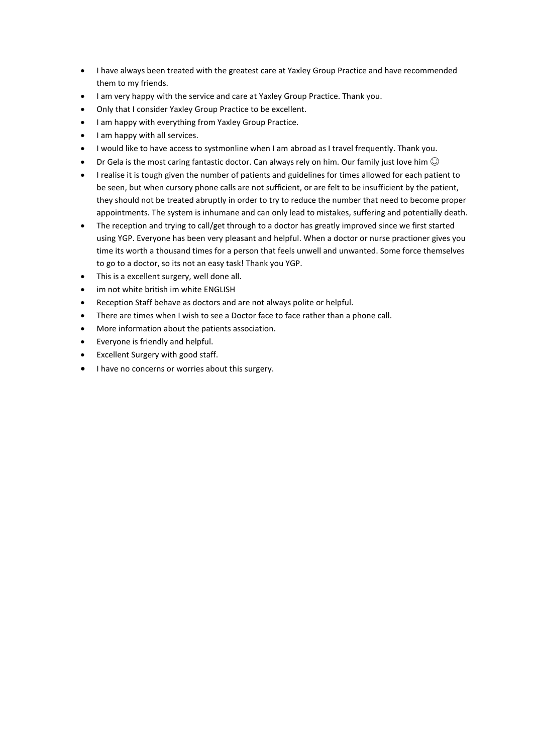- I have always been treated with the greatest care at Yaxley Group Practice and have recommended them to my friends.
- I am very happy with the service and care at Yaxley Group Practice. Thank you.
- Only that I consider Yaxley Group Practice to be excellent.
- I am happy with everything from Yaxley Group Practice.
- I am happy with all services.
- I would like to have access to systmonline when I am abroad as I travel frequently. Thank you.
- Dr Gela is the most caring fantastic doctor. Can always rely on him. Our family just love him  $\odot$
- I realise it is tough given the number of patients and guidelines for times allowed for each patient to be seen, but when cursory phone calls are not sufficient, or are felt to be insufficient by the patient, they should not be treated abruptly in order to try to reduce the number that need to become proper appointments. The system is inhumane and can only lead to mistakes, suffering and potentially death.
- The reception and trying to call/get through to a doctor has greatly improved since we first started using YGP. Everyone has been very pleasant and helpful. When a doctor or nurse practioner gives you time its worth a thousand times for a person that feels unwell and unwanted. Some force themselves to go to a doctor, so its not an easy task! Thank you YGP.
- This is a excellent surgery, well done all.
- im not white british im white ENGLISH
- Reception Staff behave as doctors and are not always polite or helpful.
- There are times when I wish to see a Doctor face to face rather than a phone call.
- More information about the patients association.
- Everyone is friendly and helpful.
- Excellent Surgery with good staff.
- I have no concerns or worries about this surgery.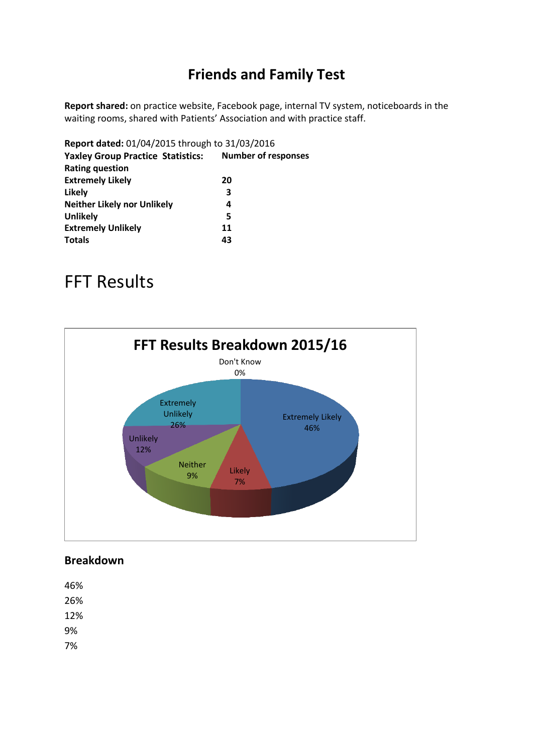## **Friends and Family Test**

**Report shared:** on practice website, Facebook page, internal TV system, noticeboards in the waiting rooms, shared with Patients' Association and with practice staff.

| Report dated: 01/04/2015 through to 31/03/2016 |                            |
|------------------------------------------------|----------------------------|
| <b>Yaxley Group Practice Statistics:</b>       | <b>Number of responses</b> |
| <b>Rating question</b>                         |                            |
| <b>Extremely Likely</b>                        | 20                         |
| Likely                                         | 3                          |
| <b>Neither Likely nor Unlikely</b>             | 4                          |
| <b>Unlikely</b>                                | 5                          |
| <b>Extremely Unlikely</b>                      | 11                         |
| <b>Totals</b>                                  | 43                         |
|                                                |                            |

# FFT Results



## **Breakdown**

46% 26% 12% 9% 7%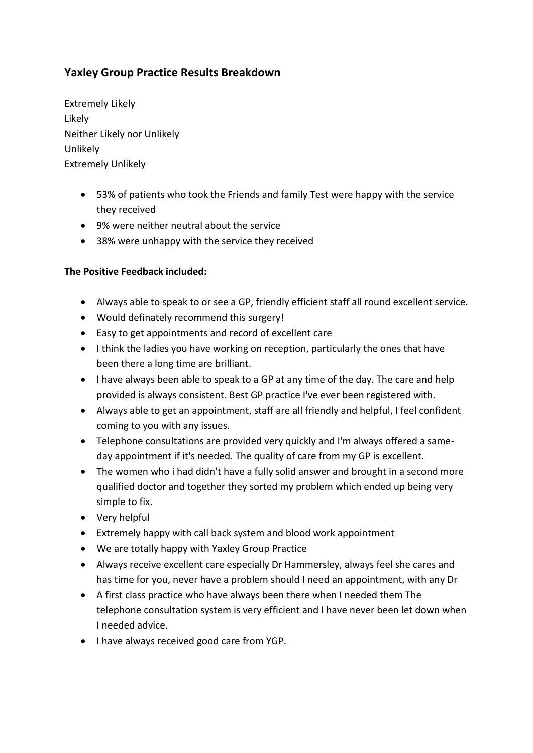## **Yaxley Group Practice Results Breakdown**

Extremely Likely Likely Neither Likely nor Unlikely Unlikely Extremely Unlikely

- 53% of patients who took the Friends and family Test were happy with the service they received
- 9% were neither neutral about the service
- 38% were unhappy with the service they received

## **The Positive Feedback included:**

- Always able to speak to or see a GP, friendly efficient staff all round excellent service.
- Would definately recommend this surgery!
- Easy to get appointments and record of excellent care
- I think the ladies you have working on reception, particularly the ones that have been there a long time are brilliant.
- I have always been able to speak to a GP at any time of the day. The care and help provided is always consistent. Best GP practice I've ever been registered with.
- Always able to get an appointment, staff are all friendly and helpful, I feel confident coming to you with any issues.
- Telephone consultations are provided very quickly and I'm always offered a sameday appointment if it's needed. The quality of care from my GP is excellent.
- The women who i had didn't have a fully solid answer and brought in a second more qualified doctor and together they sorted my problem which ended up being very simple to fix.
- Very helpful
- Extremely happy with call back system and blood work appointment
- We are totally happy with Yaxley Group Practice
- Always receive excellent care especially Dr Hammersley, always feel she cares and has time for you, never have a problem should I need an appointment, with any Dr
- A first class practice who have always been there when I needed them The telephone consultation system is very efficient and I have never been let down when I needed advice.
- I have always received good care from YGP.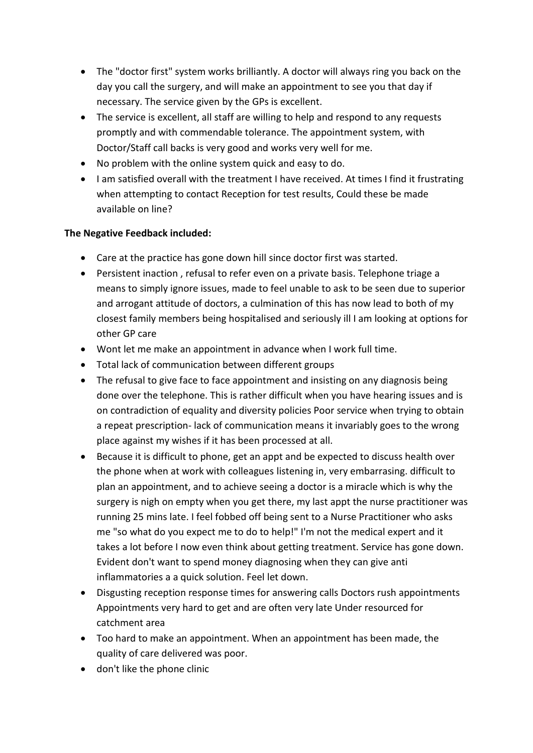- The "doctor first" system works brilliantly. A doctor will always ring you back on the day you call the surgery, and will make an appointment to see you that day if necessary. The service given by the GPs is excellent.
- The service is excellent, all staff are willing to help and respond to any requests promptly and with commendable tolerance. The appointment system, with Doctor/Staff call backs is very good and works very well for me.
- No problem with the online system quick and easy to do.
- I am satisfied overall with the treatment I have received. At times I find it frustrating when attempting to contact Reception for test results, Could these be made available on line?

## **The Negative Feedback included:**

- Care at the practice has gone down hill since doctor first was started.
- Persistent inaction , refusal to refer even on a private basis. Telephone triage a means to simply ignore issues, made to feel unable to ask to be seen due to superior and arrogant attitude of doctors, a culmination of this has now lead to both of my closest family members being hospitalised and seriously ill I am looking at options for other GP care
- Wont let me make an appointment in advance when I work full time.
- Total lack of communication between different groups
- The refusal to give face to face appointment and insisting on any diagnosis being done over the telephone. This is rather difficult when you have hearing issues and is on contradiction of equality and diversity policies Poor service when trying to obtain a repeat prescription- lack of communication means it invariably goes to the wrong place against my wishes if it has been processed at all.
- Because it is difficult to phone, get an appt and be expected to discuss health over the phone when at work with colleagues listening in, very embarrasing. difficult to plan an appointment, and to achieve seeing a doctor is a miracle which is why the surgery is nigh on empty when you get there, my last appt the nurse practitioner was running 25 mins late. I feel fobbed off being sent to a Nurse Practitioner who asks me "so what do you expect me to do to help!" I'm not the medical expert and it takes a lot before I now even think about getting treatment. Service has gone down. Evident don't want to spend money diagnosing when they can give anti inflammatories a a quick solution. Feel let down.
- Disgusting reception response times for answering calls Doctors rush appointments Appointments very hard to get and are often very late Under resourced for catchment area
- Too hard to make an appointment. When an appointment has been made, the quality of care delivered was poor.
- don't like the phone clinic